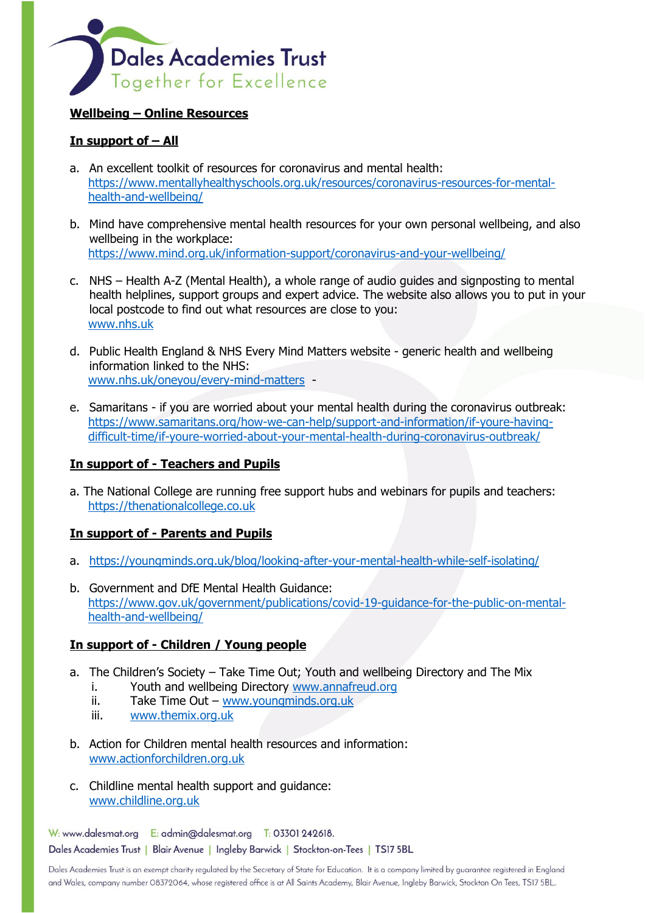

### **Wellbeing – Online Resources**

# **In support of – All**

- a. An excellent toolkit of resources for coronavirus and mental health: [https://www.mentallyhealthyschools.org.uk/resources/coronavirus-resources-for-mental](https://www.mentallyhealthyschools.org.uk/resources/coronavirus-resources-for-mental-health-and-wellbeing/)[health-and-wellbeing/](https://www.mentallyhealthyschools.org.uk/resources/coronavirus-resources-for-mental-health-and-wellbeing/)
- b. Mind have comprehensive mental health resources for your own personal wellbeing, and also wellbeing in the workplace: <https://www.mind.org.uk/information-support/coronavirus-and-your-wellbeing/>
- c. NHS Health A-Z (Mental Health), a whole range of audio guides and signposting to mental health helplines, support groups and expert advice. The website also allows you to put in your local postcode to find out what resources are close to you: [www.nhs.uk](http://www.nhs.uk/)
- d. Public Health England & NHS Every Mind Matters website generic health and wellbeing information linked to the NHS: [www.nhs.uk/oneyou/every-mind-matters](http://www.nhs.uk/oneyou/every-mind-matters) -
- e. Samaritans if you are worried about your mental health during the coronavirus outbreak: [https://www.samaritans.org/how-we-can-help/support-and-information/if-youre-having](https://www.samaritans.org/how-we-can-help/support-and-information/if-youre-having-difficult-time/if-youre-worried-about-your-mental-health-during-coronavirus-outbreak/)[difficult-time/if-youre-worried-about-your-mental-health-during-coronavirus-outbreak/](https://www.samaritans.org/how-we-can-help/support-and-information/if-youre-having-difficult-time/if-youre-worried-about-your-mental-health-during-coronavirus-outbreak/)

## **In support of - Teachers and Pupils**

a. The National College are running free support hubs and webinars for pupils and teachers: [https://thenationalcollege.co.uk](https://thenationalcollege.co.uk/) 

## **In support of - Parents and Pupils**

- a. <https://youngminds.org.uk/blog/looking-after-your-mental-health-while-self-isolating/>
- b. Government and DfE Mental Health Guidance: [https://www.gov.uk/government/publications/covid-19-guidance-for-the-public-on-mental](https://www.gov.uk/government/publications/covid-19-guidance-for-the-public-on-mental-health-and-wellbeing/)[health-and-wellbeing/](https://www.gov.uk/government/publications/covid-19-guidance-for-the-public-on-mental-health-and-wellbeing/)

## **In support of - Children / Young people**

- a. The Children's Society Take Time Out; Youth and wellbeing Directory and The Mix
	- i. Youth and wellbeing Directory [www.annafreud.org](http://www.annafreud.org/)
	- ii. Take Time Out [www.youngminds.org.uk](http://www.youngminds.org.uk/)
	- iii. [www.themix.org.uk](http://www.themix.org.uk/)
- b. Action for Children mental health resources and information: [www.actionforchildren.org.uk](http://www.actionforchildren.org.uk/)
- c. Childline mental health support and guidance: [www.childline.org.uk](http://www.childline.org.uk/)

W: www.dalesmat.org E: admin@dalesmat.org T: 03301 242618. Dales Academies Trust | Blair Avenue | Ingleby Barwick | Stockton-on-Tees | TS17 5BL

Dales Academies Trust is an exempt charity regulated by the Secretary of State for Education. It is a company limited by guarantee registered in England and Wales, company number 08372064, whose registered office is at All Saints Academy, Blair Avenue, Ingleby Barwick, Stockton On Tees, TS17 5BL.